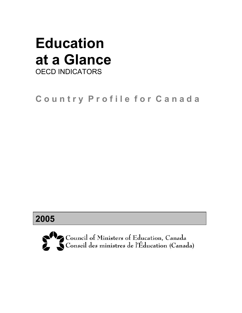# **Education at a Glance**  OECD INDICATORS

**C o u n t r y P r o f i l e f o r C a n a d a** 

# **2005**

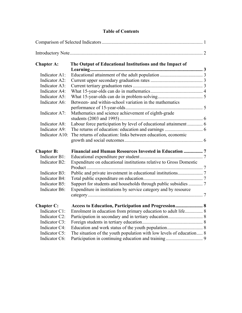# **Table of Contents**

| The Output of Educational Institutions and the Impact of<br>Indicator A1:<br>Indicator A2:<br>Indicator A3:<br>Indicator A4:<br>Indicator A5:<br>Indicator A6:<br>Between- and within-school variation in the mathematics<br>Mathematics and science achievement of eighth-grade<br>Indicator A7:<br>Labour force participation by level of educational attainment  6<br>Indicator A8:<br>Indicator A9:<br>Indicator A10:<br>The returns of education: links between education, economic<br><b>Chapter B:</b><br>Indicator B1:<br>Expenditure on educational institutions relative to Gross Domestic<br>Indicator B2:<br>Indicator B3:<br>Indicator B4:<br>Indicator B5:<br>Expenditure in institutions by service category and by resource<br>Indicator B6:<br><b>Chapter C:</b><br>Enrolment in education from primary education to adult life 8<br>Indicator C1:<br>Indicator C2:<br>Indicator C3: |                   |  |
|-------------------------------------------------------------------------------------------------------------------------------------------------------------------------------------------------------------------------------------------------------------------------------------------------------------------------------------------------------------------------------------------------------------------------------------------------------------------------------------------------------------------------------------------------------------------------------------------------------------------------------------------------------------------------------------------------------------------------------------------------------------------------------------------------------------------------------------------------------------------------------------------------------|-------------------|--|
|                                                                                                                                                                                                                                                                                                                                                                                                                                                                                                                                                                                                                                                                                                                                                                                                                                                                                                       |                   |  |
|                                                                                                                                                                                                                                                                                                                                                                                                                                                                                                                                                                                                                                                                                                                                                                                                                                                                                                       | <b>Chapter A:</b> |  |
|                                                                                                                                                                                                                                                                                                                                                                                                                                                                                                                                                                                                                                                                                                                                                                                                                                                                                                       |                   |  |
|                                                                                                                                                                                                                                                                                                                                                                                                                                                                                                                                                                                                                                                                                                                                                                                                                                                                                                       |                   |  |
|                                                                                                                                                                                                                                                                                                                                                                                                                                                                                                                                                                                                                                                                                                                                                                                                                                                                                                       |                   |  |
|                                                                                                                                                                                                                                                                                                                                                                                                                                                                                                                                                                                                                                                                                                                                                                                                                                                                                                       |                   |  |
|                                                                                                                                                                                                                                                                                                                                                                                                                                                                                                                                                                                                                                                                                                                                                                                                                                                                                                       |                   |  |
|                                                                                                                                                                                                                                                                                                                                                                                                                                                                                                                                                                                                                                                                                                                                                                                                                                                                                                       |                   |  |
|                                                                                                                                                                                                                                                                                                                                                                                                                                                                                                                                                                                                                                                                                                                                                                                                                                                                                                       |                   |  |
|                                                                                                                                                                                                                                                                                                                                                                                                                                                                                                                                                                                                                                                                                                                                                                                                                                                                                                       |                   |  |
|                                                                                                                                                                                                                                                                                                                                                                                                                                                                                                                                                                                                                                                                                                                                                                                                                                                                                                       |                   |  |
|                                                                                                                                                                                                                                                                                                                                                                                                                                                                                                                                                                                                                                                                                                                                                                                                                                                                                                       |                   |  |
|                                                                                                                                                                                                                                                                                                                                                                                                                                                                                                                                                                                                                                                                                                                                                                                                                                                                                                       |                   |  |
|                                                                                                                                                                                                                                                                                                                                                                                                                                                                                                                                                                                                                                                                                                                                                                                                                                                                                                       |                   |  |
|                                                                                                                                                                                                                                                                                                                                                                                                                                                                                                                                                                                                                                                                                                                                                                                                                                                                                                       |                   |  |
|                                                                                                                                                                                                                                                                                                                                                                                                                                                                                                                                                                                                                                                                                                                                                                                                                                                                                                       |                   |  |
|                                                                                                                                                                                                                                                                                                                                                                                                                                                                                                                                                                                                                                                                                                                                                                                                                                                                                                       |                   |  |
|                                                                                                                                                                                                                                                                                                                                                                                                                                                                                                                                                                                                                                                                                                                                                                                                                                                                                                       |                   |  |
|                                                                                                                                                                                                                                                                                                                                                                                                                                                                                                                                                                                                                                                                                                                                                                                                                                                                                                       |                   |  |
|                                                                                                                                                                                                                                                                                                                                                                                                                                                                                                                                                                                                                                                                                                                                                                                                                                                                                                       |                   |  |
|                                                                                                                                                                                                                                                                                                                                                                                                                                                                                                                                                                                                                                                                                                                                                                                                                                                                                                       |                   |  |
|                                                                                                                                                                                                                                                                                                                                                                                                                                                                                                                                                                                                                                                                                                                                                                                                                                                                                                       |                   |  |
|                                                                                                                                                                                                                                                                                                                                                                                                                                                                                                                                                                                                                                                                                                                                                                                                                                                                                                       |                   |  |
|                                                                                                                                                                                                                                                                                                                                                                                                                                                                                                                                                                                                                                                                                                                                                                                                                                                                                                       |                   |  |
|                                                                                                                                                                                                                                                                                                                                                                                                                                                                                                                                                                                                                                                                                                                                                                                                                                                                                                       |                   |  |
|                                                                                                                                                                                                                                                                                                                                                                                                                                                                                                                                                                                                                                                                                                                                                                                                                                                                                                       |                   |  |
|                                                                                                                                                                                                                                                                                                                                                                                                                                                                                                                                                                                                                                                                                                                                                                                                                                                                                                       |                   |  |
|                                                                                                                                                                                                                                                                                                                                                                                                                                                                                                                                                                                                                                                                                                                                                                                                                                                                                                       |                   |  |
|                                                                                                                                                                                                                                                                                                                                                                                                                                                                                                                                                                                                                                                                                                                                                                                                                                                                                                       |                   |  |
|                                                                                                                                                                                                                                                                                                                                                                                                                                                                                                                                                                                                                                                                                                                                                                                                                                                                                                       |                   |  |
|                                                                                                                                                                                                                                                                                                                                                                                                                                                                                                                                                                                                                                                                                                                                                                                                                                                                                                       | Indicator C4:     |  |
| The situation of the youth population with low levels of education 8<br>Indicator C5:                                                                                                                                                                                                                                                                                                                                                                                                                                                                                                                                                                                                                                                                                                                                                                                                                 |                   |  |
| Indicator C6:                                                                                                                                                                                                                                                                                                                                                                                                                                                                                                                                                                                                                                                                                                                                                                                                                                                                                         |                   |  |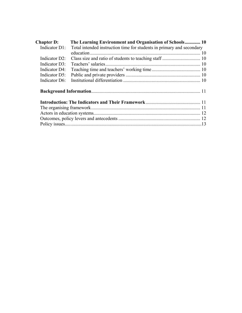| <b>Chapter D:</b> | The Learning Environment and Organisation of Schools 10               |  |  |
|-------------------|-----------------------------------------------------------------------|--|--|
| Indicator D1:     | Total intended instruction time for students in primary and secondary |  |  |
|                   |                                                                       |  |  |
| Indicator D2:     |                                                                       |  |  |
| Indicator D3:     |                                                                       |  |  |
| Indicator D4:     |                                                                       |  |  |
| Indicator D5:     |                                                                       |  |  |
| Indicator D6:     |                                                                       |  |  |
|                   |                                                                       |  |  |
|                   |                                                                       |  |  |
|                   |                                                                       |  |  |
|                   |                                                                       |  |  |
|                   |                                                                       |  |  |
|                   |                                                                       |  |  |
|                   |                                                                       |  |  |
|                   |                                                                       |  |  |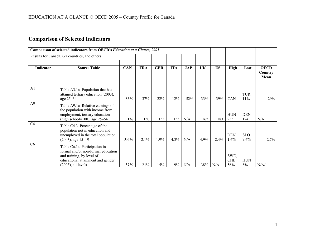# **Comparison of Selected Indicators**

| Comparison of selected indicators from OECD's Education at a Glance, 2005 |                                                                                                                                                               |            |            |            |            |            |      |           |                           |                    |                                |
|---------------------------------------------------------------------------|---------------------------------------------------------------------------------------------------------------------------------------------------------------|------------|------------|------------|------------|------------|------|-----------|---------------------------|--------------------|--------------------------------|
| Results for Canada, G7 countries, and others                              |                                                                                                                                                               |            |            |            |            |            |      |           |                           |                    |                                |
| Indicator                                                                 | <b>Source Table</b>                                                                                                                                           | <b>CAN</b> | <b>FRA</b> | <b>GER</b> | <b>ITA</b> | <b>JAP</b> | UK   | <b>US</b> | <b>High</b>               | Low                | <b>OECD</b><br>Country<br>Mean |
| A <sub>1</sub>                                                            | Table A3.1a Population that has<br>attained tertiary education (2003),<br>age 25–34                                                                           | 53%        | 37%        | 22%        | 12%        | 52%        | 33%  | 39%       | <b>CAN</b>                | <b>TUR</b><br>11%  | 29%                            |
| A <sub>9</sub>                                                            | Table A9.1a Relative earnings of<br>the population with income from<br>employment, tertiary education<br>(high school= $100$ ), age $25-64$                   | 136        | 150        | 153        | 153        | N/A        | 162  | 183       | <b>HUN</b><br>235         | <b>DEN</b><br>124  | N/A                            |
| C <sub>4</sub>                                                            | Table C4.3 Percentage of the<br>population not in education and<br>unemployed in the total population<br>$(2003)$ , age $15-19$                               | $3.0\%$    | 2.1%       | 1.9%       | $4.3\%$    | N/A        | 4.9% | 2.4%      | <b>DEN</b><br>$1.4\%$     | <b>SLO</b><br>7.4% | 2.7%                           |
| C6                                                                        | Table C6.1a Participation in<br>formal and/or non-formal education<br>and training, by level of<br>educational attainment and gender<br>$(2003)$ , all levels | 37%        | 21%        | 15%        | $9\%$      | N/A        | 38%  | N/A       | SWE,<br><b>CHE</b><br>56% | <b>HUN</b><br>8%   | N/A/                           |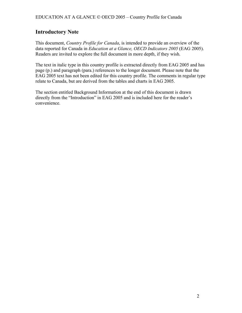# **Introductory Note**

This document, *Country Profile for Canada*, is intended to provide an overview of the data reported for Canada in *Education at a Glance, OECD Indicators 2005* (EAG 2005). Readers are invited to explore the full document in more depth, if they wish.

The text in italic type in this country profile is extracted directly from EAG 2005 and has page (p.) and paragraph (para.) references to the longer document. Please note that the EAG 2005 text has not been edited for this country profile. The comments in regular type relate to Canada, but are derived from the tables and charts in EAG 2005.

The section entitled Background Information at the end of this document is drawn directly from the "Introduction" in EAG 2005 and is included here for the reader's convenience.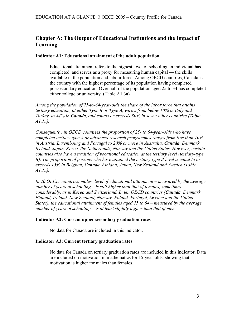# **Chapter A: The Output of Educational Institutions and the Impact of Learning**

#### **Indicator A1: Educational attainment of the adult population**

Educational attainment refers to the highest level of schooling an individual has completed, and serves as a proxy for measuring human capital — the skills available in the population and labour force. Among OECD countries, Canada is the country with the highest percentage of its population having completed postsecondary education. Over half of the population aged 25 to 34 has completed either college or university. (Table A1.3a).

*Among the population of 25-to-64-year-olds the share of the labor force that attains tertiary education, at either Type B or Type A, varies from below 10% in Italy and Turkey, to 44% in Canada, and equals or exceeds 30% in seven other countries (Table A1.1a).* 

*Consequently, in OECD countries the proportion of 25- to 64-year-olds who have completed tertiary type A or advanced research programmes ranges from less than 10% in Austria, Luxembourg and Portugal to 20% or more in Australia, Canada, Denmark, Iceland, Japan, Korea, the Netherlands, Norway and the United States. However, certain countries also have a tradition of vocational education at the tertiary level (tertiary-type B). The proportion of persons who have attained the tertiary-type B level is equal to or exceeds 15% in Belgium, Canada, Finland, Japan, New Zealand and Sweden (Table A1.1a).* 

*In 20 OECD countries, males' level of educational attainment – measured by the average number of years of schooling – is still higher than that of females, sometimes considerably, as in Korea and Switzerland. In ten OECD countries (Canada, Denmark, Finland, Ireland, New Zealand, Norway, Poland, Portugal, Sweden and the United States), the educational attainment of females aged 25 to 64 – measured by the average number of years of schooling – is at least slightly higher than that of men.* 

#### **Indicator A2: Current upper secondary graduation rates**

No data for Canada are included in this indicator.

#### **Indicator A3: Current tertiary graduation rates**

No data for Canada on tertiary graduation rates are included in this indicator. Data are included on motivation in mathematics for 15-year-olds, showing that motivation is higher for males than females.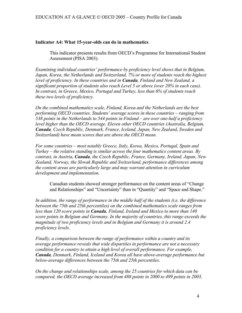#### **Indicator A4: What 15-year-olds can do in mathematics**

This indicator presents results from OECD's Programme for International Student Assessment (PISA 2003).

*Examining individual countries' performance by proficiency level shows that in Belgium, Japan, Korea, the Netherlands and Switzerland, 7% or more of students reach the highest level of proficiency. In these countries and in Canada, Finland and New Zealand, a significant proportion of students also reach Level 5 or above (over 20% in each case). In contrast, in Greece, Mexico, Portugal and Turkey, less than 6% of students reach these two levels of proficiency.* 

*On the combined mathematics scale, Finland, Korea and the Netherlands are the best performing OECD countries. Students' average scores in these countries – ranging from 538 points in the Netherlands to 544 points in Finland – are over one-half a proficiency level higher than the OECD average. Eleven other OECD countries (Australia, Belgium, Canada, Czech Republic, Denmark, France, Iceland, Japan, New Zealand, Sweden and Switzerland) have mean scores that are above the OECD mean.* 

*For some countries – most notably Greece, Italy, Korea, Mexico, Portugal, Spain and Turkey – the relative standing is similar across the four mathematics content areas. By contrast, in Austria, Canada, the Czech Republic, France, Germany, Ireland, Japan, New Zealand, Norway, the Slovak Republic and Switzerland, performance differences among the content areas are particularly large and may warrant attention in curriculum development and implementation.* 

Canadian students showed stronger performance on the content areas of "Change and Relationships" and "Uncertainty" than in "Quantity" and "Space and Shape."

*In addition, the range of performance in the middle half of the students (i.e. the difference between the 75th and 25th percentiles) on the combined mathematics scale ranges from less than 120 score points in Canada, Finland, Ireland and Mexico to more than 140 score points in Belgium and Germany. In the majority of countries, this range exceeds the magnitude of two proficiency levels and in Belgium and Germany it is around 2.4 proficiency levels.* 

*Finally, a comparison between the range of performance within a country and its average performance reveals that wide disparities in performance are not a necessary condition for a country to attain a high level of overall performance. For example, Canada, Denmark, Finland, Iceland and Korea all have above-average performance but below-average differences between the 75th and 25th percentiles*.

*On the change and relationships scale, among the 25 countries for which data can be compared, the OECD average increased from 488 points in 2000 to 499 points in 2003,*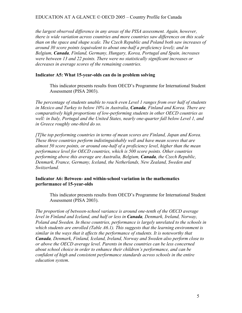*the largest observed difference in any areas of the PISA assessment. Again, however, there is wide variation across countries and more countries saw differences on this scale than on the space and shape scale. The Czech Republic and Poland both saw increases of around 30 score points (equivalent to about one-half a proficiency level); and in Belgium, Canada, Finland, Germany, Hungary, Korea, Portugal and Spain, increases were between 13 and 22 points. There were no statistically significant increases or decreases in average scores of the remaining countries.* 

#### **Indicator A5: What 15-year-olds can do in problem solving**

This indicator presents results from OECD's Programme for International Student Assessment (PISA 2003).

*The percentage of students unable to reach even Level 1 ranges from over half of students in Mexico and Turkey to below 10% in Australia, Canada, Finland and Korea. There are comparatively high proportions of low-performing students in other OECD countries as well: in Italy, Portugal and the United States, nearly one-quarter fall below Level 1, and in Greece roughly one-third do so.* 

*[T]he top performing countries in terms of mean scores are Finland, Japan and Korea. These three countries perform indistinguishably well and have mean scores that are almost 50 score points, or around one-half of a proficiency level, higher than the mean performance level for OECD countries, which is 500 score points. Other countries performing above this average are Australia, Belgium, Canada, the Czech Republic, Denmark, France, Germany, Iceland, the Netherlands, New Zealand, Sweden and Switzerland.* 

#### **Indicator A6: Between- and within-school variation in the mathematics performance of 15-year-olds**

This indicator presents results from OECD's Programme for International Student Assessment (PISA 2003).

*The proportion of between-school variance is around one-tenth of the OECD average level in Finland and Iceland, and half or less in Canada, Denmark, Ireland, Norway, Poland and Sweden. In these countries, performance is largely unrelated to the schools in which students are enrolled (Table A6.1). This suggests that the learning environment is similar in the ways that it affects the performance of students. It is noteworthy that Canada, Denmark, Finland, Iceland, Ireland, Norway and Sweden also perform close to or above the OECD average level. Parents in these countries can be less concerned about school choice in order to enhance their children's performance, and can be confident of high and consistent performance standards across schools in the entire education system*.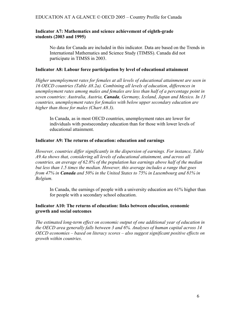#### **Indicator A7: Mathematics and science achievement of eighth-grade students (2003 and 1995)**

No data for Canada are included in this indicator. Data are based on the Trends in International Mathematics and Science Study (TIMSS). Canada did not participate in TIMSS in 2003.

#### **Indicator A8: Labour force participation by level of educational attainment**

*Higher unemployment rates for females at all levels of educational attainment are seen in 16 OECD countries (Table A8.2a). Combining all levels of education, differences in unemployment rates among males and females are less than half of a percentage point in seven countries: Australia, Austria, Canada, Germany, Iceland, Japan and Mexico. In 13 countries, unemployment rates for females with below upper secondary education are higher than those for males (Chart A8.3)*.

In Canada, as in most OECD countries, unemployment rates are lower for individuals with postsecondary education than for those with lower levels of educational attainment.

#### **Indicator A9: The returns of education: education and earnings**

*However, countries differ significantly in the dispersion of earnings. For instance, Table A9.4a shows that, considering all levels of educational attainment, and across all countries, an average of 62.8% of the population has earnings above half of the median but less than 1.5 times the median. However, this average includes a range that goes from 47% in Canada and 50% in the United States to 75% in Luxembourg and 81% in Belgium.* 

In Canada, the earnings of people with a university education are 61% higher than for people with a secondary school education.

#### **Indicator A10: The returns of education: links between education, economic growth and social outcomes**

*The estimated long-term effect on economic output of one additional year of education in the OECD area generally falls between 3 and 6%. Analyses of human capital across 14 OECD economies – based on literacy scores – also suggest significant positive effects on growth within countries*.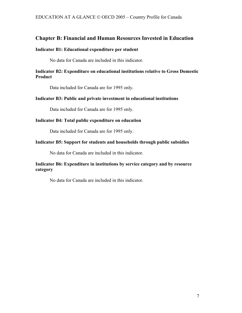#### **Chapter B: Financial and Human Resources Invested in Education**

#### **Indicator B1: Educational expenditure per student**

No data for Canada are included in this indicator.

#### **Indicator B2: Expenditure on educational institutions relative to Gross Domestic Product**

Data included for Canada are for 1995 only.

#### **Indicator B3: Public and private investment in educational institutions**

Data included for Canada are for 1995 only.

#### **Indicator B4: Total public expenditure on education**

Data included for Canada are for 1995 only.

#### **Indicator B5: Support for students and households through public subsidies**

No data for Canada are included in this indicator.

#### **Indicator B6: Expenditure in institutions by service category and by resource category**

No data for Canada are included in this indicator.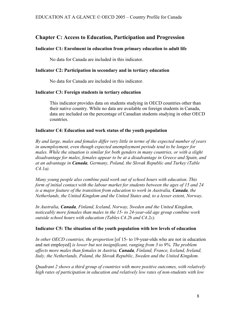# **Chapter C: Access to Education, Participation and Progression**

#### **Indicator C1: Enrolment in education from primary education to adult life**

No data for Canada are included in this indicator.

#### **Indicator C2: Participation in secondary and in tertiary education**

No data for Canada are included in this indicator.

#### **Indicator C3: Foreign students in tertiary education**

This indicator provides data on students studying in OECD countries other than their native country. While no data are available on foreign students in Canada, data are included on the percentage of Canadian students studying in other OECD countries.

#### **Indicator C4: Education and work status of the youth population**

*By and large, males and females differ very little in terms of the expected number of years in unemployment, even though expected unemployment periods tend to be longer for males. While the situation is similar for both genders in many countries, or with a slight disadvantage for males, females appear to be at a disadvantage in Greece and Spain, and at an advantage in Canada, Germany, Poland, the Slovak Republic and Turkey (Table C4.1a).* 

*Many young people also combine paid work out of school hours with education. This form of initial contact with the labour market for students between the ages of 15 and 24 is a major feature of the transition from education to work in Australia, Canada, the Netherlands, the United Kingdom and the United States and, to a lesser extent, Norway*.

*In Australia, Canada, Finland, Iceland, Norway, Sweden and the United Kingdom, noticeably more females than males in the 15- to 24-year-old age group combine work outside school hours with education (Tables C4.2b and C4.2c).* 

#### **Indicator C5: The situation of the youth population with low levels of education**

*In other OECD countries, the proportion* [of 15- to 19-year-olds who are not in education and not employed] *is lower but not insignificant, ranging from 3 to 9%. The problem affects more males than females in Austria, Canada, Finland, France, Iceland, Ireland, Italy, the Netherlands, Poland, the Slovak Republic, Sweden and the United Kingdom.*

*Quadrant 2 shows a third group of countries with more positive outcomes, with relatively high rates of participation in education and relatively low rates of non-students with low*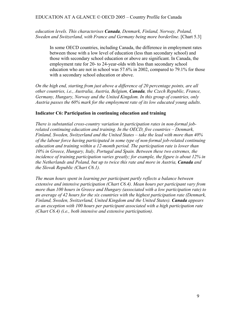*education levels. This characterises Canada, Denmark, Finland, Norway, Poland, Sweden and Switzerland, with France and Germany being more borderline*. [Chart 5.3]

In some OECD countries, including Canada, the difference in employment rates between those with a low level of education (less than secondary school) and those with secondary school education or above are significant. In Canada, the employment rate for 20- to 24-year-olds with less than secondary school education who are not in school was 57.6% in 2002, compared to 79.1% for those with a secondary school education or above.

*On the high end, starting from just above a difference of 20 percentage points, are all other countries, i.e., Australia, Austria, Belgium, Canada, the Czech Republic, France, Germany, Hungary, Norway and the United Kingdom. In this group of countries, only Austria passes the 60% mark for the employment rate of its low educated young adults*.

#### **Indicator C6: Participation in continuing education and training**

*There is substantial cross-country variation in participation rates in non-formal jobrelated continuing education and training. In the OECD, five countries – Denmark, Finland, Sweden, Switzerland and the United States – take the lead with more than 40% of the labour force having participated in some type of non-formal job-related continuing education and training within a 12-month period. The participation rate is lower than 10% in Greece, Hungary, Italy, Portugal and Spain. Between these two extremes, the incidence of training participation varies greatly; for example, the figure is about 12% in the Netherlands and Poland, but up to twice this rate and more in Austria, Canada and the Slovak Republic (Chart C6.1).* 

*The mean hours spent in learning per participant partly reflects a balance between extensive and intensive participation (Chart C6.4). Mean hours per participant vary from more than 100 hours in Greece and Hungary (associated with a low participation rate) to an average of 42 hours for the six countries with the highest participation rate (Denmark, Finland, Sweden, Switzerland, United Kingdom and the United States). Canada appears as an exception with 100 hours per participant associated with a high participation rate (Chart C6.4) (i.e., both intensive and extensive participation).*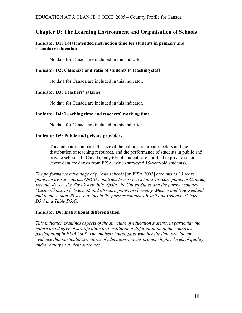### **Chapter D: The Learning Environment and Organisation of Schools**

#### **Indicator D1: Total intended instruction time for students in primary and secondary education**

No data for Canada are included in this indicator.

#### **Indicator D2: Class size and ratio of students to teaching staff**

No data for Canada are included in this indicator.

#### **Indicator D3: Teachers' salaries**

No data for Canada are included in this indicator.

#### **Indicator D4: Teaching time and teachers' working time**

No data for Canada are included in this indicator.

#### **Indicator D5: Public and private providers**

This indicator compares the size of the public and private sectors and the distribution of teaching resources, and the performance of students in public and private schools. In Canada, only 6% of students are enrolled in private schools (these data are drawn from PISA, which surveyed 15-year-old students).

*The performance advantage of private schools* [on PISA 2003] *amounts to 33 score points on average across OECD countries, to between 24 and 46 score points in Canada, Ireland, Korea, the Slovak Republic, Spain, the United States and the partner country Macao-China, to between 55 and 66 score points in Germany, Mexico and New Zealand and to more than 90 score points in the partner countries Brazil and Uruguay (Chart D5.4 and Table D5.4).* 

#### **Indicator D6: Institutional differentiation**

*This indicator examines aspects of the structure of education systems, in particular the nature and degree of stratification and institutional differentiation in the countries participating in PISA 2003. The analysis investigates whether the data provide any evidence that particular structures of education systems promote higher levels of quality and/or equity in student outcomes.*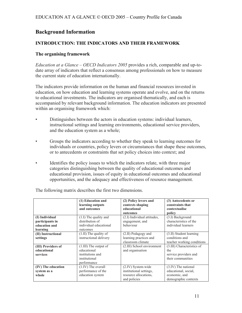# **Background Information**

#### **INTRODUCTION: THE INDICATORS AND THEIR FRAMEWORK**

#### **The organising framework**

*Education at a Glance – OECD Indicators 2005* provides a rich, comparable and up-todate array of indicators that reflect a consensus among professionals on how to measure the current state of education internationally.

The indicators provide information on the human and financial resources invested in education, on how education and learning systems operate and evolve, and on the returns to educational investments. The indicators are organised thematically, and each is accompanied by relevant background information. The education indicators are presented within an organising framework which:

- Distinguishes between the actors in education systems: individual learners, instructional settings and learning environments, educational service providers, and the education system as a whole;
- Groups the indicators according to whether they speak to learning outcomes for individuals or countries, policy levers or circumstances that shape these outcomes, or to antecedents or constraints that set policy choices into context; and
- Identifies the policy issues to which the indicators relate, with three major categories distinguishing between the quality of educational outcomes and educational provision, issues of equity in educational outcomes and educational opportunities, and the adequacy and effectiveness of resource management.

|                                                                | (1) Education and<br>learning outputs<br>and outcomes                                      | (2) Policy levers and<br>contexts shaping<br>educational<br>outcomes                   | (3) Antecedents or<br>constraints that<br>contextualise<br>policy                    |
|----------------------------------------------------------------|--------------------------------------------------------------------------------------------|----------------------------------------------------------------------------------------|--------------------------------------------------------------------------------------|
| (I) Individual<br>participants in<br>education and<br>learning | $(1.I)$ The quality and<br>distribution of<br>individual educational<br>outcomes           | (2.I) Individual attitudes,<br>engagement, and<br>behaviour                            | (3.I) Background<br>characteristics of the<br>individual learners                    |
| (II) Instructional<br>settings                                 | $(1.II)$ The quality of<br>instructional delivery                                          | $(2.II)$ Pedagogy and<br>learning practices and<br>classroom climate                   | (3.II) Student learning<br>conditions and<br>teacher working conditions              |
| (III) Providers of<br>educational<br>services                  | $(1.III)$ The output of<br>educational<br>institutions and<br>institutional<br>performance | (2.III) School environment<br>and organisation                                         | (3.III) Characteristics of<br>the<br>service providers and<br>their communities      |
| (IV) The education<br>system as a<br>whole                     | $(1.IV)$ The overall<br>performance of the<br>education system                             | (2.IV) System-wide<br>institutional settings,<br>resource allocations.<br>and policies | (3.IV) The national<br>educational, social,<br>economic, and<br>demographic contexts |

The following matrix describes the first two dimensions.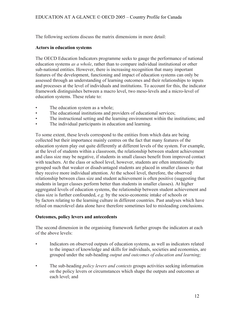The following sections discuss the matrix dimensions in more detail:

#### **Actors in education systems**

The OECD Education Indicators programme seeks to gauge the performance of national education systems *as a whole*, rather than to compare individual institutional or other sub-national entities. However, there is increasing recognition that many important features of the development, functioning and impact of education systems can only be assessed through an understanding of learning outcomes and their relationships to inputs and processes at the level of individuals and institutions. To account for this, the indicator framework distinguishes between a macro level, two meso-levels and a micro-level of education systems. These relate to:

- The education system as a whole;
- The educational institutions and providers of educational services;
- The instructional setting and the learning environment within the institutions; and
- The individual participants in education and learning.

To some extent, these levels correspond to the entities from which data are being collected but their importance mainly centres on the fact that many features of the education system play out quite differently at different levels of the system. For example, at the level of students within a classroom, the relationship between student achievement and class size may be negative, if students in small classes benefit from improved contact with teachers. At the class or school level, however, students are often intentionally grouped such that weaker or disadvantaged students are placed in smaller classes so that they receive more individual attention. At the school level, therefore, the observed relationship between class size and student achievement is often positive (suggesting that students in larger classes perform better than students in smaller classes). At higher aggregated levels of education systems, the relationship between student achievement and class size is further confounded, *e.g.* by the socio-economic intake of schools or by factors relating to the learning culture in different countries. Past analyses which have relied on macrolevel data alone have therefore sometimes led to misleading conclusions.

#### **Outcomes, policy levers and antecedents**

The second dimension in the organising framework further groups the indicators at each of the above levels:

- Indicators on observed outputs of education systems, as well as indicators related to the impact of knowledge and skills for individuals, societies and economies, are grouped under the sub-heading *output and outcomes of education and learning;*
- The sub-heading *policy levers and contexts* groups activities seeking information on the policy levers or circumstances which shape the outputs and outcomes at each level; and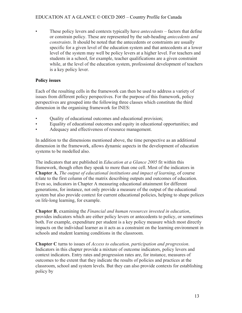• These policy levers and contexts typically have *antecedents* – factors that define or constrain policy. These are represented by the sub-heading *antecedents and constraints*. It should be noted that the antecedents or constraints are usually specific for a given level of the education system and that antecedents at a lower level of the system may well be policy levers at a higher level. For teachers and students in a school, for example, teacher qualifications are a given constraint while, at the level of the education system, professional development of teachers is a key policy lever.

#### **Policy issues**

Each of the resulting cells in the framework can then be used to address a variety of issues from different policy perspectives. For the purpose of this framework, policy perspectives are grouped into the following three classes which constitute the third dimension in the organising framework for INES:

- Quality of educational outcomes and educational provision;
- Equality of educational outcomes and equity in educational opportunities; and
- Adequacy and effectiveness of resource management.

In addition to the dimensions mentioned above, the time perspective as an additional dimension in the framework, allows dynamic aspects in the development of education systems to be modelled also.

The indicators that are published in *Education at a Glance 2005* fit within this framework, though often they speak to more than one cell. Most of the indicators in **Chapter A**, *The output of educational institutions and impact of learning*, of course relate to the first column of the matrix describing outputs and outcomes of education. Even so, indicators in Chapter A measuring educational attainment for different generations, for instance, not only provide a measure of the output of the educational system but also provide context for current educational policies, helping to shape polices on life-long learning, for example.

**Chapter B**, examining the *Financial and human resources invested in education*, provides indicators which are either policy levers or antecedents to policy, or sometimes both. For example, expenditure per student is a key policy measure which most directly impacts on the individual learner as it acts as a constraint on the learning environment in schools and student learning conditions in the classroom.

**Chapter C** turns to issues of *Access to education, participation and progression*. Indicators in this chapter provide a mixture of outcome indicators, policy levers and context indicators. Entry rates and progression rates are, for instance, measures of outcomes to the extent that they indicate the results of policies and practices at the classroom, school and system levels. But they can also provide contexts for establishing policy by